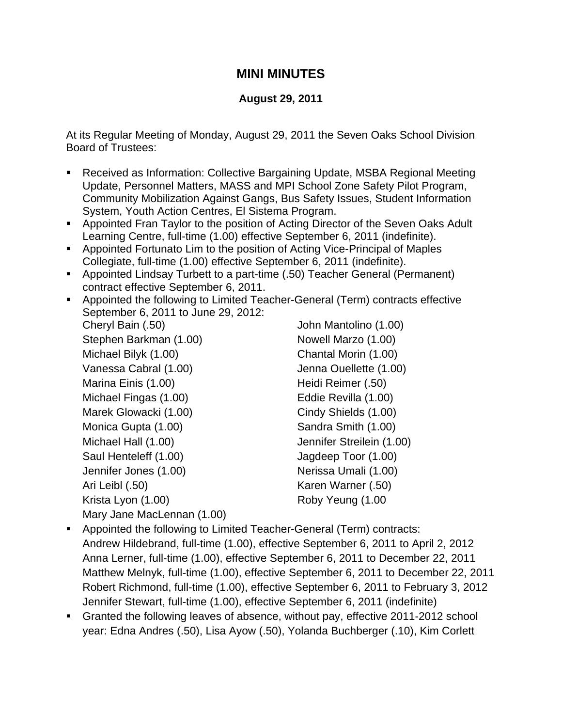## **MINI MINUTES**

## **August 29, 2011**

At its Regular Meeting of Monday, August 29, 2011 the Seven Oaks School Division Board of Trustees:

- Received as Information: Collective Bargaining Update, MSBA Regional Meeting Update, Personnel Matters, MASS and MPI School Zone Safety Pilot Program, Community Mobilization Against Gangs, Bus Safety Issues, Student Information System, Youth Action Centres, El Sistema Program.
- Appointed Fran Taylor to the position of Acting Director of the Seven Oaks Adult Learning Centre, full-time (1.00) effective September 6, 2011 (indefinite).
- Appointed Fortunato Lim to the position of Acting Vice-Principal of Maples Collegiate, full-time (1.00) effective September 6, 2011 (indefinite).
- Appointed Lindsay Turbett to a part-time (.50) Teacher General (Permanent) contract effective September 6, 2011.
- Appointed the following to Limited Teacher-General (Term) contracts effective September 6, 2011 to June 29, 2012:

Cheryl Bain (.50) John Mantolino (1.00) Stephen Barkman (1.00) Nowell Marzo (1.00) Michael Bilyk (1.00) Chantal Morin (1.00) Vanessa Cabral (1.00) Jenna Ouellette (1.00) Marina Einis (1.00) Marina Einis (1.00) Michael Fingas (1.00) Eddie Revilla (1.00) Marek Glowacki (1.00) Cindy Shields (1.00) Monica Gupta (1.00) Sandra Smith (1.00) Michael Hall (1.00) Jennifer Streilein (1.00) Saul Henteleff (1.00) Jagdeep Toor (1.00) Jennifer Jones (1.00) Nerissa Umali (1.00) Ari Leibl (.50) Karen Warner (.50) Krista Lyon (1.00) Roby Yeung (1.00 Mary Jane MacLennan (1.00)

- Appointed the following to Limited Teacher-General (Term) contracts: Andrew Hildebrand, full-time (1.00), effective September 6, 2011 to April 2, 2012 Anna Lerner, full-time (1.00), effective September 6, 2011 to December 22, 2011 Matthew Melnyk, full-time (1.00), effective September 6, 2011 to December 22, 2011 Robert Richmond, full-time (1.00), effective September 6, 2011 to February 3, 2012 Jennifer Stewart, full-time (1.00), effective September 6, 2011 (indefinite)
- Granted the following leaves of absence, without pay, effective 2011-2012 school year: Edna Andres (.50), Lisa Ayow (.50), Yolanda Buchberger (.10), Kim Corlett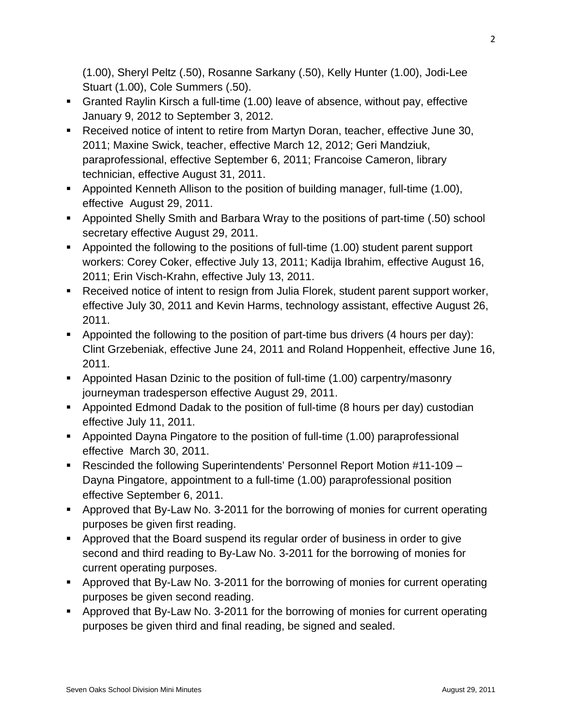(1.00), Sheryl Peltz (.50), Rosanne Sarkany (.50), Kelly Hunter (1.00), Jodi-Lee Stuart (1.00), Cole Summers (.50).

- Granted Raylin Kirsch a full-time (1.00) leave of absence, without pay, effective January 9, 2012 to September 3, 2012.
- Received notice of intent to retire from Martyn Doran, teacher, effective June 30, 2011; Maxine Swick, teacher, effective March 12, 2012; Geri Mandziuk, paraprofessional, effective September 6, 2011; Francoise Cameron, library technician, effective August 31, 2011.
- Appointed Kenneth Allison to the position of building manager, full-time (1.00), effective August 29, 2011.
- Appointed Shelly Smith and Barbara Wray to the positions of part-time (.50) school secretary effective August 29, 2011.
- Appointed the following to the positions of full-time (1.00) student parent support workers: Corey Coker, effective July 13, 2011; Kadija Ibrahim, effective August 16, 2011; Erin Visch-Krahn, effective July 13, 2011.
- Received notice of intent to resign from Julia Florek, student parent support worker, effective July 30, 2011 and Kevin Harms, technology assistant, effective August 26, 2011.
- Appointed the following to the position of part-time bus drivers (4 hours per day): Clint Grzebeniak, effective June 24, 2011 and Roland Hoppenheit, effective June 16, 2011.
- **Appointed Hasan Dzinic to the position of full-time (1.00) carpentry/masonry** journeyman tradesperson effective August 29, 2011.
- Appointed Edmond Dadak to the position of full-time (8 hours per day) custodian effective July 11, 2011.
- Appointed Dayna Pingatore to the position of full-time (1.00) paraprofessional effective March 30, 2011.
- Rescinded the following Superintendents' Personnel Report Motion #11-109 Dayna Pingatore, appointment to a full-time (1.00) paraprofessional position effective September 6, 2011.
- **Approved that By-Law No. 3-2011 for the borrowing of monies for current operating** purposes be given first reading.
- Approved that the Board suspend its regular order of business in order to give second and third reading to By-Law No. 3-2011 for the borrowing of monies for current operating purposes.
- Approved that By-Law No. 3-2011 for the borrowing of monies for current operating purposes be given second reading.
- Approved that By-Law No. 3-2011 for the borrowing of monies for current operating purposes be given third and final reading, be signed and sealed.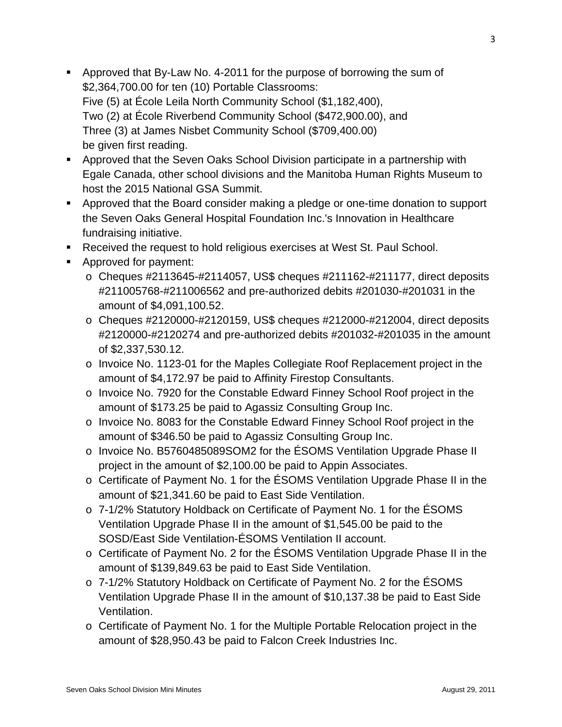- Approved that By-Law No. 4-2011 for the purpose of borrowing the sum of \$2,364,700.00 for ten (10) Portable Classrooms: Five (5) at École Leila North Community School (\$1,182,400), Two (2) at École Riverbend Community School (\$472,900.00), and Three (3) at James Nisbet Community School (\$709,400.00) be given first reading.
- Approved that the Seven Oaks School Division participate in a partnership with Egale Canada, other school divisions and the Manitoba Human Rights Museum to host the 2015 National GSA Summit.
- Approved that the Board consider making a pledge or one-time donation to support the Seven Oaks General Hospital Foundation Inc.'s Innovation in Healthcare fundraising initiative.
- **Received the request to hold religious exercises at West St. Paul School.**
- Approved for payment:
	- $\circ$  Cheques #2113645-#2114057, US\$ cheques #211162-#211177, direct deposits #211005768-#211006562 and pre-authorized debits #201030-#201031 in the amount of \$4,091,100.52.
	- o Cheques #2120000-#2120159, US\$ cheques #212000-#212004, direct deposits #2120000-#2120274 and pre-authorized debits #201032-#201035 in the amount of \$2,337,530.12.
	- o Invoice No. 1123-01 for the Maples Collegiate Roof Replacement project in the amount of \$4,172.97 be paid to Affinity Firestop Consultants.
	- o Invoice No. 7920 for the Constable Edward Finney School Roof project in the amount of \$173.25 be paid to Agassiz Consulting Group Inc.
	- o Invoice No. 8083 for the Constable Edward Finney School Roof project in the amount of \$346.50 be paid to Agassiz Consulting Group Inc.
	- o Invoice No. B5760485089SOM2 for the ÉSOMS Ventilation Upgrade Phase II project in the amount of \$2,100.00 be paid to Appin Associates.
	- o Certificate of Payment No. 1 for the ÉSOMS Ventilation Upgrade Phase II in the amount of \$21,341.60 be paid to East Side Ventilation.
	- o 7-1/2% Statutory Holdback on Certificate of Payment No. 1 for the ÉSOMS Ventilation Upgrade Phase II in the amount of \$1,545.00 be paid to the SOSD/East Side Ventilation-ÉSOMS Ventilation II account.
	- o Certificate of Payment No. 2 for the ÉSOMS Ventilation Upgrade Phase II in the amount of \$139,849.63 be paid to East Side Ventilation.
	- o 7-1/2% Statutory Holdback on Certificate of Payment No. 2 for the ÉSOMS Ventilation Upgrade Phase II in the amount of \$10,137.38 be paid to East Side Ventilation.
	- o Certificate of Payment No. 1 for the Multiple Portable Relocation project in the amount of \$28,950.43 be paid to Falcon Creek Industries Inc.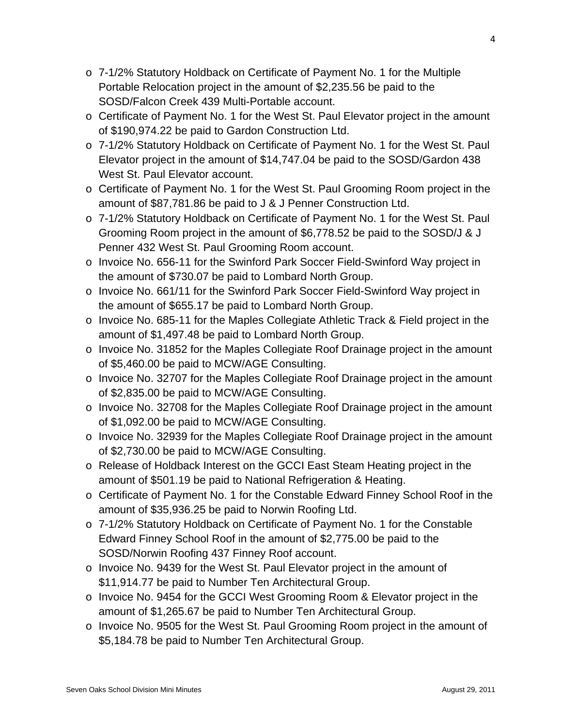- o 7-1/2% Statutory Holdback on Certificate of Payment No. 1 for the Multiple Portable Relocation project in the amount of \$2,235.56 be paid to the SOSD/Falcon Creek 439 Multi-Portable account.
- o Certificate of Payment No. 1 for the West St. Paul Elevator project in the amount of \$190,974.22 be paid to Gardon Construction Ltd.
- o 7-1/2% Statutory Holdback on Certificate of Payment No. 1 for the West St. Paul Elevator project in the amount of \$14,747.04 be paid to the SOSD/Gardon 438 West St. Paul Elevator account.
- o Certificate of Payment No. 1 for the West St. Paul Grooming Room project in the amount of \$87,781.86 be paid to J & J Penner Construction Ltd.
- o 7-1/2% Statutory Holdback on Certificate of Payment No. 1 for the West St. Paul Grooming Room project in the amount of \$6,778.52 be paid to the SOSD/J & J Penner 432 West St. Paul Grooming Room account.
- o Invoice No. 656-11 for the Swinford Park Soccer Field-Swinford Way project in the amount of \$730.07 be paid to Lombard North Group.
- o Invoice No. 661/11 for the Swinford Park Soccer Field-Swinford Way project in the amount of \$655.17 be paid to Lombard North Group.
- o Invoice No. 685-11 for the Maples Collegiate Athletic Track & Field project in the amount of \$1,497.48 be paid to Lombard North Group.
- o Invoice No. 31852 for the Maples Collegiate Roof Drainage project in the amount of \$5,460.00 be paid to MCW/AGE Consulting.
- o Invoice No. 32707 for the Maples Collegiate Roof Drainage project in the amount of \$2,835.00 be paid to MCW/AGE Consulting.
- o Invoice No. 32708 for the Maples Collegiate Roof Drainage project in the amount of \$1,092.00 be paid to MCW/AGE Consulting.
- o Invoice No. 32939 for the Maples Collegiate Roof Drainage project in the amount of \$2,730.00 be paid to MCW/AGE Consulting.
- o Release of Holdback Interest on the GCCI East Steam Heating project in the amount of \$501.19 be paid to National Refrigeration & Heating.
- o Certificate of Payment No. 1 for the Constable Edward Finney School Roof in the amount of \$35,936.25 be paid to Norwin Roofing Ltd.
- o 7-1/2% Statutory Holdback on Certificate of Payment No. 1 for the Constable Edward Finney School Roof in the amount of \$2,775.00 be paid to the SOSD/Norwin Roofing 437 Finney Roof account.
- o Invoice No. 9439 for the West St. Paul Elevator project in the amount of \$11,914.77 be paid to Number Ten Architectural Group.
- o Invoice No. 9454 for the GCCI West Grooming Room & Elevator project in the amount of \$1,265.67 be paid to Number Ten Architectural Group.
- o Invoice No. 9505 for the West St. Paul Grooming Room project in the amount of \$5,184.78 be paid to Number Ten Architectural Group.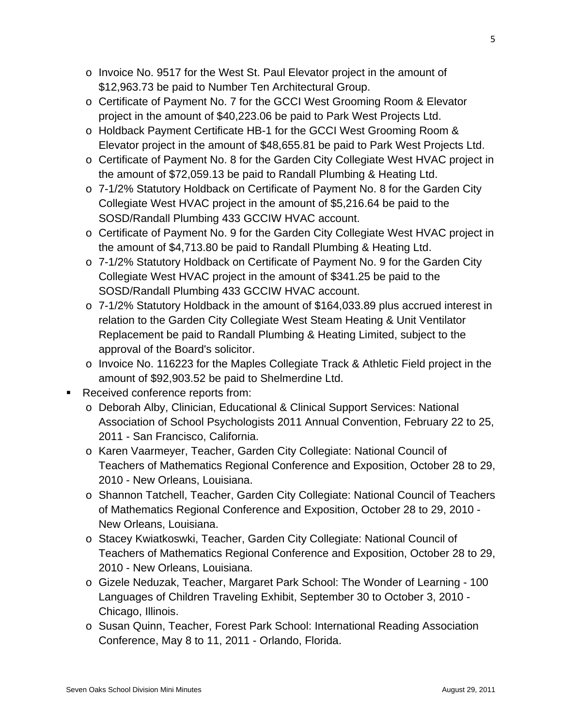- o Invoice No. 9517 for the West St. Paul Elevator project in the amount of \$12,963.73 be paid to Number Ten Architectural Group.
- o Certificate of Payment No. 7 for the GCCI West Grooming Room & Elevator project in the amount of \$40,223.06 be paid to Park West Projects Ltd.
- o Holdback Payment Certificate HB-1 for the GCCI West Grooming Room & Elevator project in the amount of \$48,655.81 be paid to Park West Projects Ltd.
- o Certificate of Payment No. 8 for the Garden City Collegiate West HVAC project in the amount of \$72,059.13 be paid to Randall Plumbing & Heating Ltd.
- o 7-1/2% Statutory Holdback on Certificate of Payment No. 8 for the Garden City Collegiate West HVAC project in the amount of \$5,216.64 be paid to the SOSD/Randall Plumbing 433 GCCIW HVAC account.
- o Certificate of Payment No. 9 for the Garden City Collegiate West HVAC project in the amount of \$4,713.80 be paid to Randall Plumbing & Heating Ltd.
- o 7-1/2% Statutory Holdback on Certificate of Payment No. 9 for the Garden City Collegiate West HVAC project in the amount of \$341.25 be paid to the SOSD/Randall Plumbing 433 GCCIW HVAC account.
- o 7-1/2% Statutory Holdback in the amount of \$164,033.89 plus accrued interest in relation to the Garden City Collegiate West Steam Heating & Unit Ventilator Replacement be paid to Randall Plumbing & Heating Limited, subject to the approval of the Board's solicitor.
- o Invoice No. 116223 for the Maples Collegiate Track & Athletic Field project in the amount of \$92,903.52 be paid to Shelmerdine Ltd.
- **Received conference reports from:** 
	- o Deborah Alby, Clinician, Educational & Clinical Support Services: National Association of School Psychologists 2011 Annual Convention, February 22 to 25, 2011 - San Francisco, California.
	- o Karen Vaarmeyer, Teacher, Garden City Collegiate: National Council of Teachers of Mathematics Regional Conference and Exposition, October 28 to 29, 2010 - New Orleans, Louisiana.
	- o Shannon Tatchell, Teacher, Garden City Collegiate: National Council of Teachers of Mathematics Regional Conference and Exposition, October 28 to 29, 2010 - New Orleans, Louisiana.
	- o Stacey Kwiatkoswki, Teacher, Garden City Collegiate: National Council of Teachers of Mathematics Regional Conference and Exposition, October 28 to 29, 2010 - New Orleans, Louisiana.
	- o Gizele Neduzak, Teacher, Margaret Park School: The Wonder of Learning 100 Languages of Children Traveling Exhibit, September 30 to October 3, 2010 - Chicago, Illinois.
	- o Susan Quinn, Teacher, Forest Park School: International Reading Association Conference, May 8 to 11, 2011 - Orlando, Florida.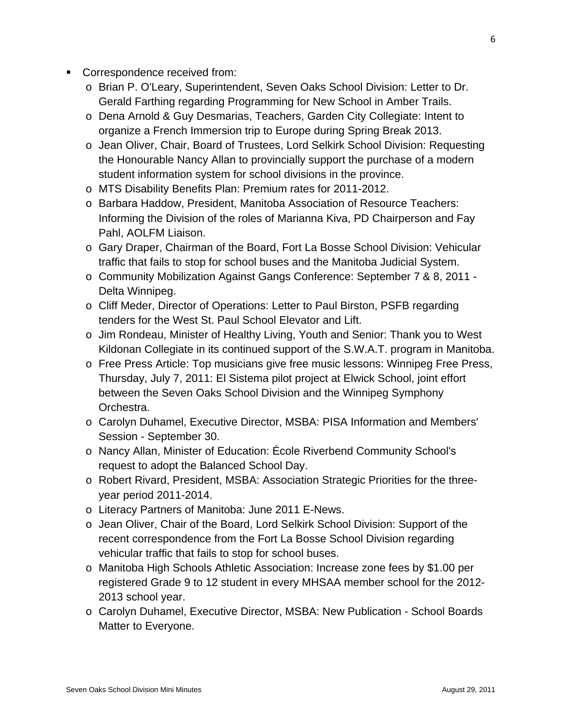- **Correspondence received from:** 
	- o Brian P. O'Leary, Superintendent, Seven Oaks School Division: Letter to Dr. Gerald Farthing regarding Programming for New School in Amber Trails.
	- o Dena Arnold & Guy Desmarias, Teachers, Garden City Collegiate: Intent to organize a French Immersion trip to Europe during Spring Break 2013.
	- o Jean Oliver, Chair, Board of Trustees, Lord Selkirk School Division: Requesting the Honourable Nancy Allan to provincially support the purchase of a modern student information system for school divisions in the province.
	- o MTS Disability Benefits Plan: Premium rates for 2011-2012.
	- o Barbara Haddow, President, Manitoba Association of Resource Teachers: Informing the Division of the roles of Marianna Kiva, PD Chairperson and Fay Pahl, AOLFM Liaison.
	- o Gary Draper, Chairman of the Board, Fort La Bosse School Division: Vehicular traffic that fails to stop for school buses and the Manitoba Judicial System.
	- o Community Mobilization Against Gangs Conference: September 7 & 8, 2011 Delta Winnipeg.
	- o Cliff Meder, Director of Operations: Letter to Paul Birston, PSFB regarding tenders for the West St. Paul School Elevator and Lift.
	- o Jim Rondeau, Minister of Healthy Living, Youth and Senior: Thank you to West Kildonan Collegiate in its continued support of the S.W.A.T. program in Manitoba.
	- o Free Press Article: Top musicians give free music lessons: Winnipeg Free Press, Thursday, July 7, 2011: El Sistema pilot project at Elwick School, joint effort between the Seven Oaks School Division and the Winnipeg Symphony Orchestra.
	- o Carolyn Duhamel, Executive Director, MSBA: PISA Information and Members' Session - September 30.
	- o Nancy Allan, Minister of Education: École Riverbend Community School's request to adopt the Balanced School Day.
	- o Robert Rivard, President, MSBA: Association Strategic Priorities for the threeyear period 2011-2014.
	- o Literacy Partners of Manitoba: June 2011 E-News.
	- o Jean Oliver, Chair of the Board, Lord Selkirk School Division: Support of the recent correspondence from the Fort La Bosse School Division regarding vehicular traffic that fails to stop for school buses.
	- o Manitoba High Schools Athletic Association: Increase zone fees by \$1.00 per registered Grade 9 to 12 student in every MHSAA member school for the 2012- 2013 school year.
	- o Carolyn Duhamel, Executive Director, MSBA: New Publication School Boards Matter to Everyone.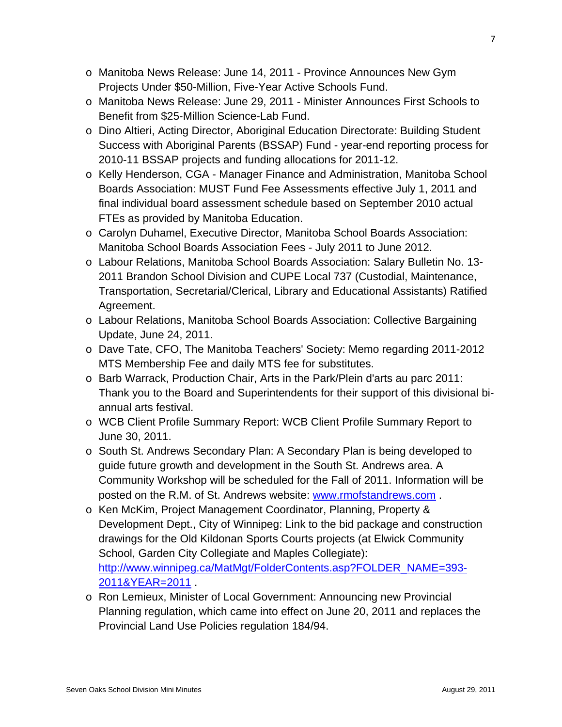- o Manitoba News Release: June 14, 2011 Province Announces New Gym Projects Under \$50-Million, Five-Year Active Schools Fund.
- o Manitoba News Release: June 29, 2011 Minister Announces First Schools to Benefit from \$25-Million Science-Lab Fund.
- o Dino Altieri, Acting Director, Aboriginal Education Directorate: Building Student Success with Aboriginal Parents (BSSAP) Fund - year-end reporting process for 2010-11 BSSAP projects and funding allocations for 2011-12.
- o Kelly Henderson, CGA Manager Finance and Administration, Manitoba School Boards Association: MUST Fund Fee Assessments effective July 1, 2011 and final individual board assessment schedule based on September 2010 actual FTEs as provided by Manitoba Education.
- o Carolyn Duhamel, Executive Director, Manitoba School Boards Association: Manitoba School Boards Association Fees - July 2011 to June 2012.
- o Labour Relations, Manitoba School Boards Association: Salary Bulletin No. 13- 2011 Brandon School Division and CUPE Local 737 (Custodial, Maintenance, Transportation, Secretarial/Clerical, Library and Educational Assistants) Ratified Agreement.
- o Labour Relations, Manitoba School Boards Association: Collective Bargaining Update, June 24, 2011.
- o Dave Tate, CFO, The Manitoba Teachers' Society: Memo regarding 2011-2012 MTS Membership Fee and daily MTS fee for substitutes.
- o Barb Warrack, Production Chair, Arts in the Park/Plein d'arts au parc 2011: Thank you to the Board and Superintendents for their support of this divisional biannual arts festival.
- o WCB Client Profile Summary Report: WCB Client Profile Summary Report to June 30, 2011.
- o South St. Andrews Secondary Plan: A Secondary Plan is being developed to guide future growth and development in the South St. Andrews area. A Community Workshop will be scheduled for the Fall of 2011. Information will be posted on the R.M. of St. Andrews website: [www.rmofstandrews.com](http://www.rmofstandrews.com/) .
- o Ken McKim, Project Management Coordinator, Planning, Property & Development Dept., City of Winnipeg: Link to the bid package and construction drawings for the Old Kildonan Sports Courts projects (at Elwick Community School, Garden City Collegiate and Maples Collegiate): [http://www.winnipeg.ca/MatMgt/FolderContents.asp?FOLDER\\_NAME=393-](http://www.winnipeg.ca/MatMgt/FolderContents.asp?FOLDER_NAME=393-2011&YEAR=2011) [2011&YEAR=2011](http://www.winnipeg.ca/MatMgt/FolderContents.asp?FOLDER_NAME=393-2011&YEAR=2011) .
- o Ron Lemieux, Minister of Local Government: Announcing new Provincial Planning regulation, which came into effect on June 20, 2011 and replaces the Provincial Land Use Policies regulation 184/94.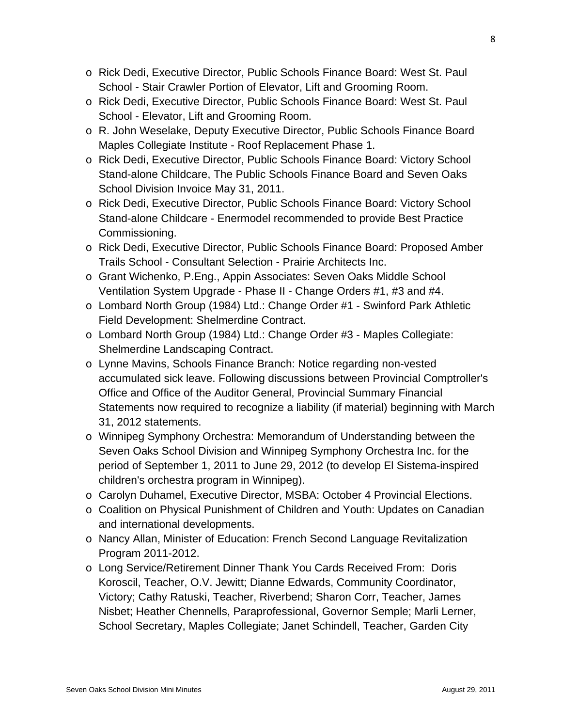- o Rick Dedi, Executive Director, Public Schools Finance Board: West St. Paul School - Stair Crawler Portion of Elevator, Lift and Grooming Room.
- o Rick Dedi, Executive Director, Public Schools Finance Board: West St. Paul School - Elevator, Lift and Grooming Room.
- o R. John Weselake, Deputy Executive Director, Public Schools Finance Board Maples Collegiate Institute - Roof Replacement Phase 1.
- o Rick Dedi, Executive Director, Public Schools Finance Board: Victory School Stand-alone Childcare, The Public Schools Finance Board and Seven Oaks School Division Invoice May 31, 2011.
- o Rick Dedi, Executive Director, Public Schools Finance Board: Victory School Stand-alone Childcare - Enermodel recommended to provide Best Practice Commissioning.
- o Rick Dedi, Executive Director, Public Schools Finance Board: Proposed Amber Trails School - Consultant Selection - Prairie Architects Inc.
- o Grant Wichenko, P.Eng., Appin Associates: Seven Oaks Middle School Ventilation System Upgrade - Phase II - Change Orders #1, #3 and #4.
- o Lombard North Group (1984) Ltd.: Change Order #1 Swinford Park Athletic Field Development: Shelmerdine Contract.
- o Lombard North Group (1984) Ltd.: Change Order #3 Maples Collegiate: Shelmerdine Landscaping Contract.
- o Lynne Mavins, Schools Finance Branch: Notice regarding non-vested accumulated sick leave. Following discussions between Provincial Comptroller's Office and Office of the Auditor General, Provincial Summary Financial Statements now required to recognize a liability (if material) beginning with March 31, 2012 statements.
- o Winnipeg Symphony Orchestra: Memorandum of Understanding between the Seven Oaks School Division and Winnipeg Symphony Orchestra Inc. for the period of September 1, 2011 to June 29, 2012 (to develop El Sistema-inspired children's orchestra program in Winnipeg).
- o Carolyn Duhamel, Executive Director, MSBA: October 4 Provincial Elections.
- o Coalition on Physical Punishment of Children and Youth: Updates on Canadian and international developments.
- o Nancy Allan, Minister of Education: French Second Language Revitalization Program 2011-2012.
- o Long Service/Retirement Dinner Thank You Cards Received From: Doris Koroscil, Teacher, O.V. Jewitt; Dianne Edwards, Community Coordinator, Victory; Cathy Ratuski, Teacher, Riverbend; Sharon Corr, Teacher, James Nisbet; Heather Chennells, Paraprofessional, Governor Semple; Marli Lerner, School Secretary, Maples Collegiate; Janet Schindell, Teacher, Garden City